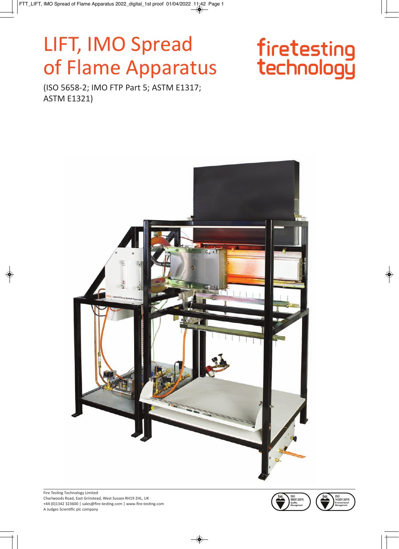# LIFT, IMO Spread of Flame Apparatus

firetesting<br>technology

(ISO 5658-2; IMO FTP Part 5; ASTM E1317; **ASTM E1321)** 



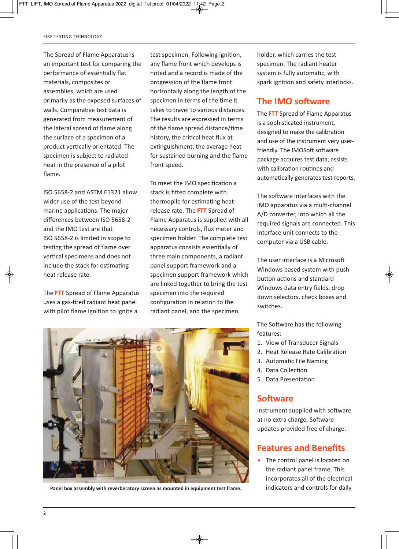The Spread of Flame Apparatus is an important test for comparing the performance of essentially flat materials, composites or assemblies, which are used primarily as the exposed surfaces of walls. Comparative test data is generated from measurement of the lateral spread of flame along the surface of a specimen of a product vertically orientated. The specimen is subject to radiated heat in the presence of a pilot flame.

ISO 56582 and ASTM E1321 allow wider use of the test beyond marine applications. The major differences between ISO 5658-2 and the IMO test are that ISO 5658-2 is limited in scope to testing the spread of flame over vertical specimens and does not include the stack for estimating heat release rate.

The **FTT** Spread of Flame Apparatus uses a gas-fired radiant heat panel with pilot flame ignition to ignite a

test specimen. Following ignition, any flame front which develops is noted and a record is made of the progression of the flame front horizontally along the length of the specimen in terms of the time it takes to travel to various distances. The results are expressed in terms of the flame spread distance/time history, the critical heat flux at extinguishment, the average heat for sustained burning and the flame front speed.

To meet the IMO specification a stack is fitted complete with thermopile for estimating heat release rate. The **FTT** Spread of Flame Apparatus is supplied with all necessary controls, flux meter and specimen holder. The complete test apparatus consists essentially of three main components, a radiant panel support framework and a specimen support framework which are linked together to bring the test specimen into the required configuration in relation to the radiant panel, and the specimen



**Panel box assembly with reverberatory screen as mounted in equipment test frame.**

holder, which carries the test specimen. The radiant heater system is fully automatic, with spark ignition and safety interlocks.

#### **The IMO software**

The **FTT** Spread of Flame Apparatus is a sophisticated instrument, designed to make the calibration and use of the instrument very userfriendly. The IMOSoft software package acquires test data, assists with calibration routines and automatically generates test reports.

The software interfaces with the IMO apparatus via a multi-channel A/D converter, into which all the required signals are connected. This interface unit connects to the computer via a USB cable.

The user interface is a Microsoft Windows based system with push button actions and standard Windows data entry fields, drop down selectors, check boxes and switches.

The Software has the following features:

- 1. View of Transducer Signals
- 2. Heat Release Rate Calibration
- 3. Automatic File Naming
- 4. Data Collection
- 5. Data Presentation

#### **Software**

Instrument supplied with software at no extra charge. Software updates provided free of charge.

#### **Features and Benefits**

The control panel is located on the radiant panel frame. This incorporates all of the electrical indicators and controls for daily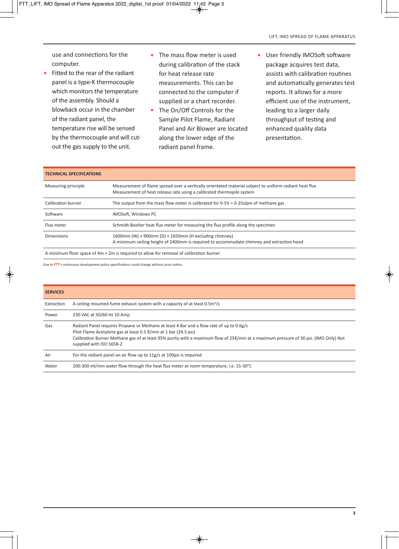use and connections for the computer.

- Fitted to the rear of the radiant panel is a type-K thermocouple which monitors the temperature of the assembly. Should a blowback occur in the chamber of the radiant panel, the temperature rise will be sensed by the thermocouple and will cutout the gas supply to the unit.
- The mass flow meter is used during calibration of the stack for heat release rate measurements. This can be connected to the computer if supplied or a chart recorder.
- The On/Off Controls for the Sample Pilot Flame, Radiant Panel and Air Blower are located along the lower edge of the radiant panel frame.
- User friendly IMOSoft software package acquires test data, assists with calibration routines and automatically generates test reports. It allows for a more efficient use of the instrument, leading to a larger daily throughput of testing and enhanced quality data presentation.

| <b>TECHNICAL SPECIFICATIONS</b> |                                                                                                                                                                                 |
|---------------------------------|---------------------------------------------------------------------------------------------------------------------------------------------------------------------------------|
| Measuring principle             | Measurement of flame spread over a vertically orientated material subject to uniform radiant heat flux<br>Measurement of heat release rate using a calibrated thermopile system |
| Calibration burner              | The output from the mass flow meter is calibrated for $0-5V = 0-25$ slpm of methane gas                                                                                         |
| Software                        | IMOSoft, Windows PC                                                                                                                                                             |
| Flux meter                      | Schmidt-Boelter heat flux meter for measuring the flux profile along the specimen                                                                                               |
| <b>Dimensions</b>               | 1600mm (W) $\times$ 900mm (D) $\times$ 1650mm (H excluding chimney)<br>A minimum ceiling height of 2400mm is required to accommodate chimney and extraction hood                |
|                                 | A minimum floor space of $4m \times 2m$ is required to allow for removal of calibration burner                                                                                  |

Due to **FTT**'s continuous development policy specifications could change without prior notice.

| <b>SERVICES</b> |                                                                                                                                                                                                                                                                                                                                  |
|-----------------|----------------------------------------------------------------------------------------------------------------------------------------------------------------------------------------------------------------------------------------------------------------------------------------------------------------------------------|
| Extraction      | A ceiling mounted fume exhaust system with a capacity of at least 0.5m <sup>3</sup> /s                                                                                                                                                                                                                                           |
| Power           | 230 VAC at 50/60 Hz 10 Amp                                                                                                                                                                                                                                                                                                       |
| Gas             | Radiant Panel requires Propane or Methane at least 4 Bar and a flow rate of up to 0.6g/s<br>Pilot Flame Acetylene gas at least 0.5 e/min at 1 bar (24.5 psi)<br>Calibration Burner Methane gas of at least 95% purity with a maximum flow of 258/min at a maximum pressure of 30 psi. (IMO Only) Not<br>supplied with ISO 5658-2 |
| Air             | For the radiant panel an air flow up to $11g/s$ at 100psi is required                                                                                                                                                                                                                                                            |
| Water           | 200-300 ml/min water flow through the heat flux meter at room temperature, i.e. 15-30°C                                                                                                                                                                                                                                          |